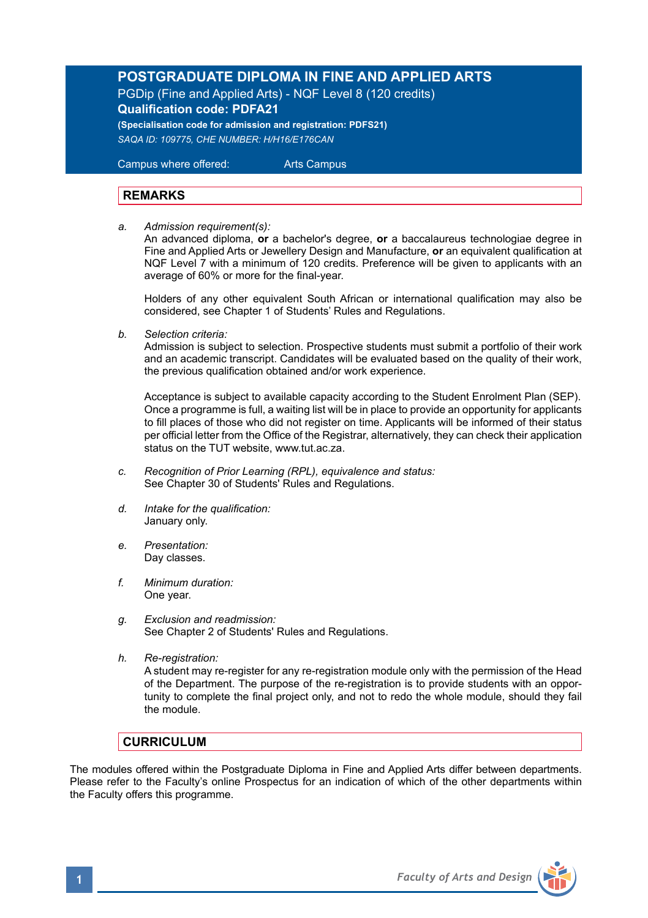# **POSTGRADUATE DIPLOMA IN FINE AND APPLIED ARTS**

PGDip (Fine and Applied Arts) - NQF Level 8 (120 credits) **Qualification code: PDFA21** 

**(Specialisation code for admission and registration: PDFS21)** *SAQA ID: 109775, CHE NUMBER: H/H16/E176CAN* 

 Campus where offered: Arts Campus

## **REMARKS**

*a. Admission requirement(s):* 

An advanced diploma, **or** a bachelor's degree, **or** a baccalaureus technologiae degree in Fine and Applied Arts or Jewellery Design and Manufacture, **or** an equivalent qualification at NQF Level 7 with a minimum of 120 credits. Preference will be given to applicants with an average of 60% or more for the final-year.

Holders of any other equivalent South African or international qualification may also be considered, see Chapter 1 of Students' Rules and Regulations.

*b. Selection criteria:*

Admission is subject to selection. Prospective students must submit a portfolio of their work and an academic transcript. Candidates will be evaluated based on the quality of their work, the previous qualification obtained and/or work experience.

 Acceptance is subject to available capacity according to the Student Enrolment Plan (SEP). Once a programme is full, a waiting list will be in place to provide an opportunity for applicants to fill places of those who did not register on time. Applicants will be informed of their status per official letter from the Office of the Registrar, alternatively, they can check their application status on the TUT website, www.tut.ac.za.

- *c. Recognition of Prior Learning (RPL), equivalence and status:* See Chapter 30 of Students' Rules and Regulations.
- *d. Intake for the qualification:* January only.
- *e. Presentation:* Day classes.
- *f. Minimum duration:* One year.
- *g. Exclusion and readmission:* See Chapter 2 of Students' Rules and Regulations.
- *h. Re-registration:*

A student may re-register for any re-registration module only with the permission of the Head of the Department. The purpose of the re-registration is to provide students with an opportunity to complete the final project only, and not to redo the whole module, should they fail the module.

# **CURRICULUM**

The modules offered within the Postgraduate Diploma in Fine and Applied Arts differ between departments. Please refer to the Faculty's online Prospectus for an indication of which of the other departments within the Faculty offers this programme.